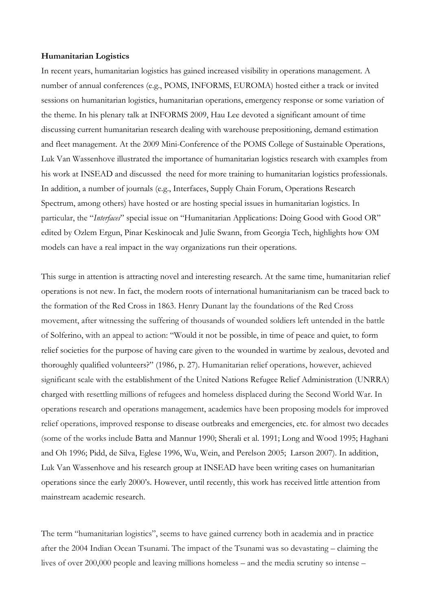## **Humanitarian Logistics**

In recent years, humanitarian logistics has gained increased visibility in operations management. A number of annual conferences (e.g., POMS, INFORMS, EUROMA) hosted either a track or invited sessions on humanitarian logistics, humanitarian operations, emergency response or some variation of the theme. In his plenary talk at INFORMS 2009, Hau Lee devoted a significant amount of time discussing current humanitarian research dealing with warehouse prepositioning, demand estimation and fleet management. At the 2009 Mini-Conference of the POMS College of Sustainable Operations, Luk Van Wassenhove illustrated the importance of humanitarian logistics research with examples from his work at INSEAD and discussed the need for more training to humanitarian logistics professionals. In addition, a number of journals (e.g., Interfaces, Supply Chain Forum, Operations Research Spectrum, among others) have hosted or are hosting special issues in humanitarian logistics. In particular, the "*Interfaces*" special issue on "Humanitarian Applications: Doing Good with Good OR" edited by Ozlem Ergun, Pinar Keskinocak and Julie Swann, from Georgia Tech, highlights how OM models can have a real impact in the way organizations run their operations.

This surge in attention is attracting novel and interesting research. At the same time, humanitarian relief operations is not new. In fact, the modern roots of international humanitarianism can be traced back to the formation of the Red Cross in 1863. Henry Dunant lay the foundations of the Red Cross movement, after witnessing the suffering of thousands of wounded soldiers left untended in the battle of Solferino, with an appeal to action: "Would it not be possible, in time of peace and quiet, to form relief societies for the purpose of having care given to the wounded in wartime by zealous, devoted and thoroughly qualified volunteers?" (1986, p. 27). Humanitarian relief operations, however, achieved significant scale with the establishment of the United Nations Refugee Relief Administration (UNRRA) charged with resettling millions of refugees and homeless displaced during the Second World War. In operations research and operations management, academics have been proposing models for improved relief operations, improved response to disease outbreaks and emergencies, etc. for almost two decades (some of the works include Batta and Mannur 1990; Sherali et al. 1991; Long and Wood 1995; Haghani and Oh 1996; Pidd, de Silva, Eglese 1996, Wu, Wein, and Perelson 2005; Larson 2007). In addition, Luk Van Wassenhove and his research group at INSEAD have been writing cases on humanitarian operations since the early 2000's. However, until recently, this work has received little attention from mainstream academic research.

The term "humanitarian logistics", seems to have gained currency both in academia and in practice after the 2004 Indian Ocean Tsunami. The impact of the Tsunami was so devastating – claiming the lives of over 200,000 people and leaving millions homeless – and the media scrutiny so intense –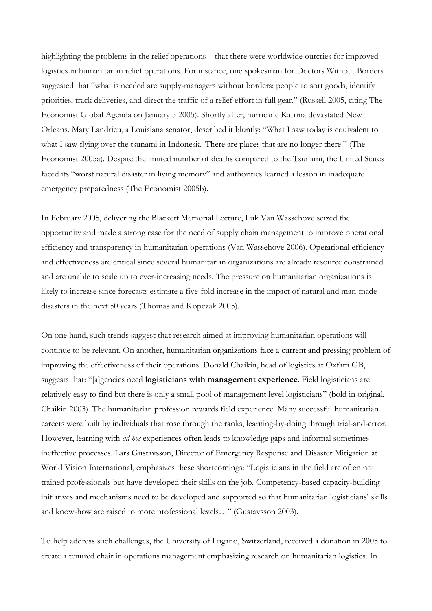highlighting the problems in the relief operations – that there were worldwide outcries for improved logistics in humanitarian relief operations. For instance, one spokesman for Doctors Without Borders suggested that "what is needed are supply-managers without borders: people to sort goods, identify priorities, track deliveries, and direct the traffic of a relief effort in full gear." (Russell 2005, citing The Economist Global Agenda on January 5 2005). Shortly after, hurricane Katrina devastated New Orleans. Mary Landrieu, a Louisiana senator, described it bluntly: "What I saw today is equivalent to what I saw flying over the tsunami in Indonesia. There are places that are no longer there." (The Economist 2005a). Despite the limited number of deaths compared to the Tsunami, the United States faced its "worst natural disaster in living memory" and authorities learned a lesson in inadequate emergency preparedness (The Economist 2005b).

In February 2005, delivering the Blackett Memorial Lecture, Luk Van Wassehove seized the opportunity and made a strong case for the need of supply chain management to improve operational efficiency and transparency in humanitarian operations (Van Wassehove 2006). Operational efficiency and effectiveness are critical since several humanitarian organizations are already resource constrained and are unable to scale up to ever-increasing needs. The pressure on humanitarian organizations is likely to increase since forecasts estimate a five-fold increase in the impact of natural and man-made disasters in the next 50 years (Thomas and Kopczak 2005).

On one hand, such trends suggest that research aimed at improving humanitarian operations will continue to be relevant. On another, humanitarian organizations face a current and pressing problem of improving the effectiveness of their operations. Donald Chaikin, head of logistics at Oxfam GB, suggests that: "[a]gencies need **logisticians with management experience**. Field logisticians are relatively easy to find but there is only a small pool of management level logisticians" (bold in original, Chaikin 2003). The humanitarian profession rewards field experience. Many successful humanitarian careers were built by individuals that rose through the ranks, learning-by-doing through trial-and-error. However, learning with *ad hoc* experiences often leads to knowledge gaps and informal sometimes ineffective processes. Lars Gustavsson, Director of Emergency Response and Disaster Mitigation at World Vision International, emphasizes these shortcomings: "Logisticians in the field are often not trained professionals but have developed their skills on the job. Competency-based capacity-building initiatives and mechanisms need to be developed and supported so that humanitarian logisticians' skills and know-how are raised to more professional levels…" (Gustavsson 2003).

To help address such challenges, the University of Lugano, Switzerland, received a donation in 2005 to create a tenured chair in operations management emphasizing research on humanitarian logistics. In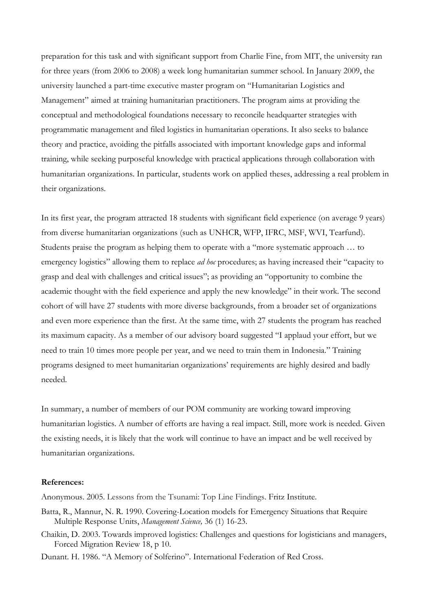preparation for this task and with significant support from Charlie Fine, from MIT, the university ran for three years (from 2006 to 2008) a week long humanitarian summer school. In January 2009, the university launched a part-time executive master program on "Humanitarian Logistics and Management" aimed at training humanitarian practitioners. The program aims at providing the conceptual and methodological foundations necessary to reconcile headquarter strategies with programmatic management and filed logistics in humanitarian operations. It also seeks to balance theory and practice, avoiding the pitfalls associated with important knowledge gaps and informal training, while seeking purposeful knowledge with practical applications through collaboration with humanitarian organizations. In particular, students work on applied theses, addressing a real problem in their organizations.

In its first year, the program attracted 18 students with significant field experience (on average 9 years) from diverse humanitarian organizations (such as UNHCR, WFP, IFRC, MSF, WVI, Tearfund). Students praise the program as helping them to operate with a "more systematic approach … to emergency logistics" allowing them to replace *ad hoc* procedures; as having increased their "capacity to grasp and deal with challenges and critical issues"; as providing an "opportunity to combine the academic thought with the field experience and apply the new knowledge" in their work. The second cohort of will have 27 students with more diverse backgrounds, from a broader set of organizations and even more experience than the first. At the same time, with 27 students the program has reached its maximum capacity. As a member of our advisory board suggested "I applaud your effort, but we need to train 10 times more people per year, and we need to train them in Indonesia." Training programs designed to meet humanitarian organizations' requirements are highly desired and badly needed.

In summary, a number of members of our POM community are working toward improving humanitarian logistics. A number of efforts are having a real impact. Still, more work is needed. Given the existing needs, it is likely that the work will continue to have an impact and be well received by humanitarian organizations.

## **References:**

Anonymous. 2005. Lessons from the Tsunami: Top Line Findings. Fritz Institute.

- Batta, R., Mannur, N. R. 1990. Covering-Location models for Emergency Situations that Require Multiple Response Units, *Management Science,* 36 (1) 16-23.
- Chaikin, D. 2003. Towards improved logistics: Challenges and questions for logisticians and managers, Forced Migration Review 18, p 10.

Dunant. H. 1986. "A Memory of Solferino". International Federation of Red Cross.